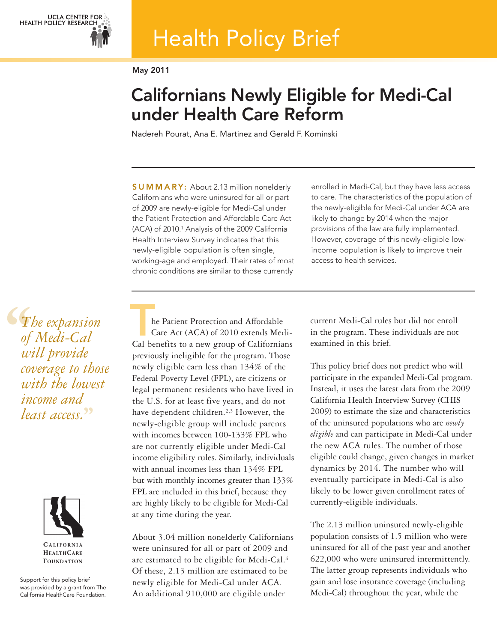# Health Policy Brief

**May 2011**

## **Californians Newly Eligible for Medi-Cal under Health Care Reform**

Nadereh Pourat, Ana E. Martinez and Gerald F. Kominski

**S U M M A R Y:** About 2.13 million nonelderly Californians who were uninsured for all or part of 2009 are newly-eligible for Medi-Cal under the Patient Protection and Affordable Care Act (ACA) of 2010. <sup>1</sup> Analysis of the 2009 California Health Interview Survey indicates that this newly-eligible population is often single, working-age and employed. Their rates of most chronic conditions are similar to those currently

enrolled in Medi-Cal, but they have less access to care. The characteristics of the population of the newly-eligible for Medi-Cal under ACA are likely to change by 2014 when the major provisions of the law are fully implemented. However, coverage of this newly-eligible lowincome population is likely to improve their access to health services.

 $\begin{array}{c} \n\begin{array}{c}\n\bullet \\
\bullet \\
\bullet\n\end{array} \\
\bullet\n\end{array}$ *The expansion of Medi-Cal will provide coverage to those with the lowest income and least access.* **''**



**CALIFORNIA HEALTHCARE FOUNDATION** 

Support for this policy brief was provided by a grant from The California HealthCare Foundation.

he Patient Protection and Affordable Care Act (ACA) of 2010 extends Medi-**Example 18 Following Series Active Care Act (ACA) of 2010 extends Medi-Cal benefits to a new group of Californians** previously ineligible for the program. Those newly eligible earn less than 134% of the Federal Poverty Level (FPL), are citizens or legal permanent residents who have lived in the U.S. for at least five years, and do not have dependent children.2,3 However, the newly-eligible group will include parents with incomes between 100-133% FPL who are not currently eligible under Medi-Cal income eligibility rules. Similarly, individuals with annual incomes less than 134% FPL but with monthly incomes greater than 133% FPL are included in this brief, because they are highly likely to be eligible for Medi-Cal at any time during the year.

About 3.04 million nonelderly Californians were uninsured for all or part of 2009 and are estimated to be eligible for Medi-Cal.4 Of these, 2.13 million are estimated to be newly eligible for Medi-Cal under ACA. An additional 910,000 are eligible under

current Medi-Cal rules but did not enroll in the program. These individuals are not examined in this brief.

This policy brief does not predict who will participate in the expanded Medi-Cal program. Instead, it uses the latest data from the 2009 California Health Interview Survey (CHIS 2009) to estimate the size and characteristics of the uninsured populations who are *newly eligible* and can participate in Medi-Cal under the new ACA rules. The number of those eligible could change, given changes in market dynamics by 2014. The number who will eventually participate in Medi-Cal is also likely to be lower given enrollment rates of currently-eligible individuals.

The 2.13 million uninsured newly-eligible population consists of 1.5 million who were uninsured for all of the past year and another 622,000 who were uninsured intermittently. The latter group represents individuals who gain and lose insurance coverage (including Medi-Cal) throughout the year, while the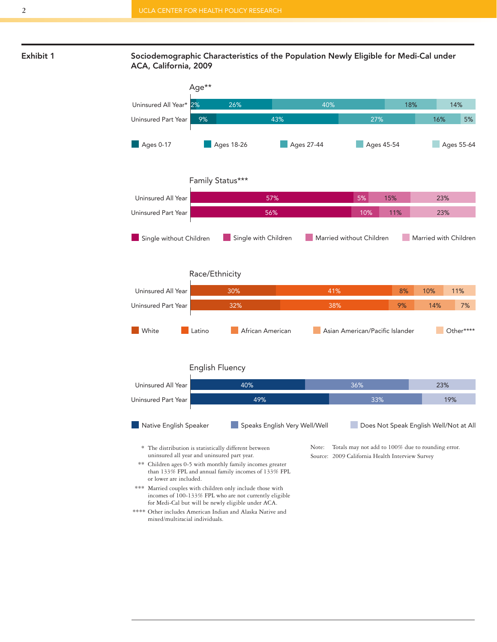

**Exhibit 1 Sociodemographic Characteristics of the Population Newly Eligible for Medi-Cal under ACA, California, 2009**

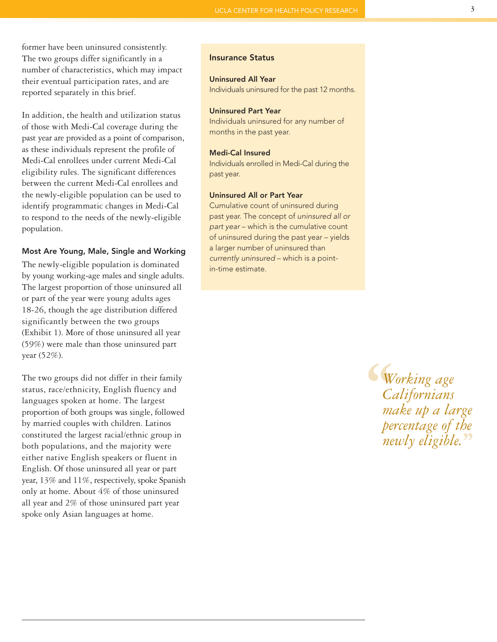former have been uninsured consistently. The two groups differ significantly in a number of characteristics, which may impact their eventual participation rates, and are reported separately in this brief.

In addition, the health and utilization status of those with Medi-Cal coverage during the past year are provided as a point of comparison, as these individuals represent the profile of Medi-Cal enrollees under current Medi-Cal eligibility rules. The significant differences between the current Medi-Cal enrollees and the newly-eligible population can be used to identify programmatic changes in Medi-Cal to respond to the needs of the newly-eligible population.

#### **Most Are Young, Male, Single and Working**

The newly-eligible population is dominated by young working-age males and single adults. The largest proportion of those uninsured all or part of the year were young adults ages 18-26, though the age distribution differed significantly between the two groups (Exhibit 1). More of those uninsured all year (59%) were male than those uninsured part year (52%).

The two groups did not differ in their family status, race/ethnicity, English fluency and languages spoken at home. The largest proportion of both groups was single, followed by married couples with children. Latinos constituted the largest racial/ethnic group in both populations, and the majority were either native English speakers or fluent in English. Of those uninsured all year or part year, 13% and 11%, respectively, spoke Spanish only at home. About 4% of those uninsured all year and 2% of those uninsured part year spoke only Asian languages at home.

#### **Insurance Status**

#### **Uninsured All Year**

Individuals uninsured for the past 12 months.

#### **Uninsured Part Year**

Individuals uninsured for any number of months in the past year.

#### **Medi-Cal Insured**

Individuals enrolled in Medi-Cal during the past year.

#### **Uninsured All or Part Year**

Cumulative count of uninsured during past year. The concept of *uninsured all or part year* – which is the cumulative count of uninsured during the past year – yields a larger number of uninsured than *currently uninsured* – which is a pointin-time estimate.

> **C**<br>
> C<br>
> m<br>
> per<br>
> per *Working age Californians make up a large percentage of the newly eligible.* **''**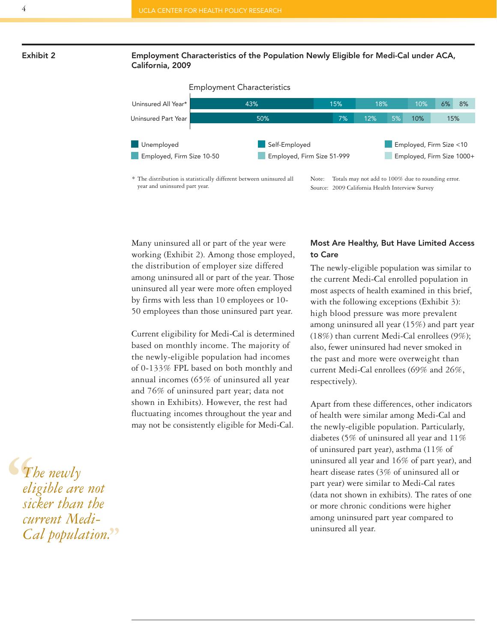#### **Exhibit 2 Employment Characteristics of the Population Newly Eligible for Medi-Cal under ACA, California, 2009**



Many uninsured all or part of the year were working (Exhibit 2). Among those employed, the distribution of employer size differed among uninsured all or part of the year. Those uninsured all year were more often employed by firms with less than 10 employees or 10- 50 employees than those uninsured part year.

Current eligibility for Medi-Cal is determined based on monthly income. The majority of the newly-eligible population had incomes of 0-133% FPL based on both monthly and annual incomes (65% of uninsured all year and 76% of uninsured part year; data not shown in Exhibits). However, the rest had fluctuating incomes throughout the year and may not be consistently eligible for Medi-Cal.

#### **Most Are Healthy, But Have Limited Access to Care**

The newly-eligible population was similar to the current Medi-Cal enrolled population in most aspects of health examined in this brief, with the following exceptions (Exhibit 3): high blood pressure was more prevalent among uninsured all year (15%) and part year (18%) than current Medi-Cal enrollees (9%); also, fewer uninsured had never smoked in the past and more were overweight than current Medi-Cal enrollees (69% and 26%, respectively).

Apart from these differences, other indicators of health were similar among Medi-Cal and the newly-eligible population. Particularly, diabetes (5% of uninsured all year and 11% of uninsured part year), asthma (11% of uninsured all year and 16% of part year), and heart disease rates (3% of uninsured all or part year) were similar to Medi-Cal rates (data not shown in exhibits). The rates of one or more chronic conditions were higher among uninsured part year compared to uninsured all year.

**S**<br>
eli<br>
sic<br>
cu *The newly eligible are not sicker than the current Medi- Cal population.* **''**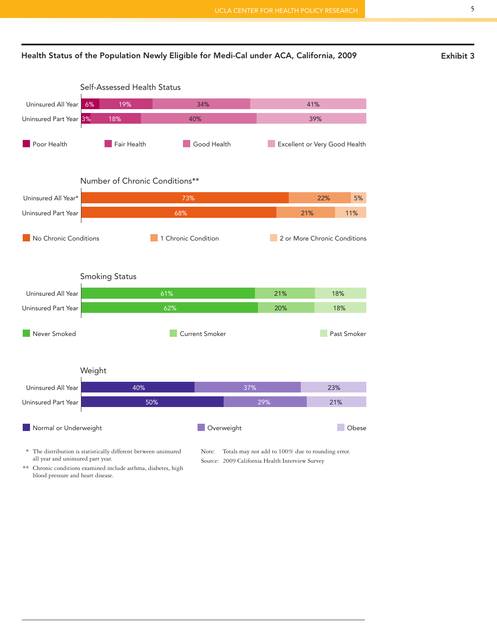

### Self-Assessed Health Status



\*\* Chronic conditions examined include asthma, diabetes, high blood pressure and heart disease.

all year and uninsured part year.

Source: 2009 California Health Interview Survey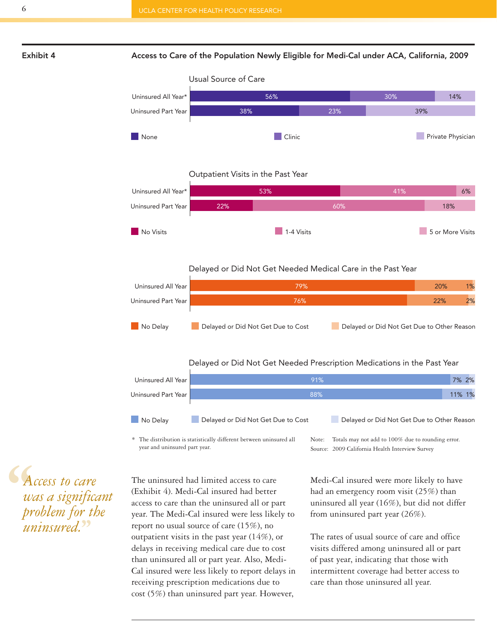

#### **Exhibit 4 Access to Care of the Population Newly Eligible for Medi-Cal under ACA, California, 2009**



#### Outpatient Visits in the Past Year



#### Delayed or Did Not Get Needed Medical Care in the Past Year



#### Delayed or Did Not Get Needed Prescription Medications in the Past Year



\* The distribution is statistically different between uninsured all year and uninsured part year.

Note: Totals may not add to 100% due to rounding error. Source: 2009 California Health Interview Survey

**''** *Access to care was a significant problem for the uninsured.* **''**

The uninsured had limited access to care (Exhibit 4). Medi-Cal insured had better access to care than the uninsured all or part year. The Medi-Cal insured were less likely to report no usual source of care (15%), no outpatient visits in the past year (14%), or delays in receiving medical care due to cost than uninsured all or part year. Also, Medi-Cal insured were less likely to report delays in receiving prescription medications due to cost (5%) than uninsured part year. However,

Medi-Cal insured were more likely to have had an emergency room visit (25%) than uninsured all year (16%), but did not differ from uninsured part year (26%).

The rates of usual source of care and office visits differed among uninsured all or part of past year, indicating that those with intermittent coverage had better access to care than those uninsured all year.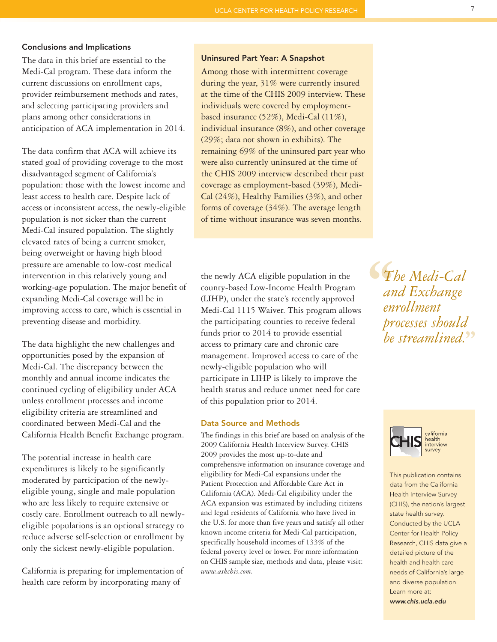#### **Conclusions and Implications**

The data in this brief are essential to the Medi-Cal program. These data inform the current discussions on enrollment caps, provider reimbursement methods and rates, and selecting participating providers and plans among other considerations in anticipation of ACA implementation in 2014.

The data confirm that ACA will achieve its stated goal of providing coverage to the most disadvantaged segment of California's population: those with the lowest income and least access to health care. Despite lack of access or inconsistent access, the newly-eligible population is not sicker than the current Medi-Cal insured population. The slightly elevated rates of being a current smoker, being overweight or having high blood pressure are amenable to low-cost medical intervention in this relatively young and working-age population. The major benefit of expanding Medi-Cal coverage will be in improving access to care, which is essential in preventing disease and morbidity.

The data highlight the new challenges and opportunities posed by the expansion of Medi-Cal. The discrepancy between the monthly and annual income indicates the continued cycling of eligibility under ACA unless enrollment processes and income eligibility criteria are streamlined and coordinated between Medi-Cal and the California Health Benefit Exchange program.

The potential increase in health care expenditures is likely to be significantly moderated by participation of the newlyeligible young, single and male population who are less likely to require extensive or costly care. Enrollment outreach to all newlyeligible populations is an optional strategy to reduce adverse self-selection or enrollment by only the sickest newly-eligible population.

California is preparing for implementation of health care reform by incorporating many of

#### **Uninsured Part Year: A Snapshot**

Among those with intermittent coverage during the year, 31% were currently insured at the time of the CHIS 2009 interview. These individuals were covered by employmentbased insurance (52%), Medi-Cal (11%), individual insurance (8%), and other coverage (29%; data not shown in exhibits). The remaining 69% of the uninsured part year who were also currently uninsured at the time of the CHIS 2009 interview described their past coverage as employment-based (39%), Medi-Cal (24%), Healthy Families (3%), and other forms of coverage (34%). The average length of time without insurance was seven months.

the newly ACA eligible population in the county-based Low-Income Health Program (LIHP), under the state's recently approved Medi-Cal 1115 Waiver. This program allows the participating counties to receive federal funds prior to 2014 to provide essential access to primary care and chronic care management. Improved access to care of the newly-eligible population who will participate in LIHP is likely to improve the health status and reduce unmet need for care of this population prior to 2014.

#### **Data Source and Methods**

The findings in this brief are based on analysis of the 2009 California Health Interview Survey. CHIS 2009 provides the most up-to-date and comprehensive information on insurance coverage and eligibility for Medi-Cal expansions under the Patient Protection and Affordable Care Act in California (ACA). Medi-Cal eligibility under the ACA expansion was estimated by including citizens and legal residents of California who have lived in the U.S. for more than five years and satisfy all other known income criteria for Medi-Cal participation, specifically household incomes of 133% of the federal poverty level or lower. For more information on CHIS sample size, methods and data, please visit: *www.askchis.com.*

**S**<br> *an*<br>
en<br>
pr *The Medi-Cal and Exchange enrollment processes should be streamlined.* **''**



This publication contains data from the California Health Interview Survey (CHIS), the nation's largest state health survey. Conducted by the UCLA Center for Health Policy Research, CHIS data give a detailed picture of the health and health care needs of California's large and diverse population. Learn more at: *www.chis.ucla.edu*